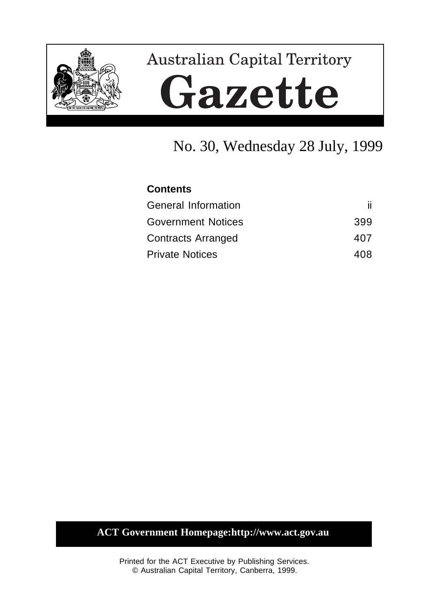

# **Australian Capital Territory** Gazette

## No. 30, Wednesday 28 July, 1999

| <b>Contents</b>           |     |
|---------------------------|-----|
| General Information       |     |
| <b>Government Notices</b> | 399 |
| <b>Contracts Arranged</b> | 407 |
| <b>Private Notices</b>    | 408 |

### **ACT Government Homepage:http://www.act.gov.au**

Printed for the ACT Executive by Publishing Services. © Australian Capital Territory, Canberra, 1999.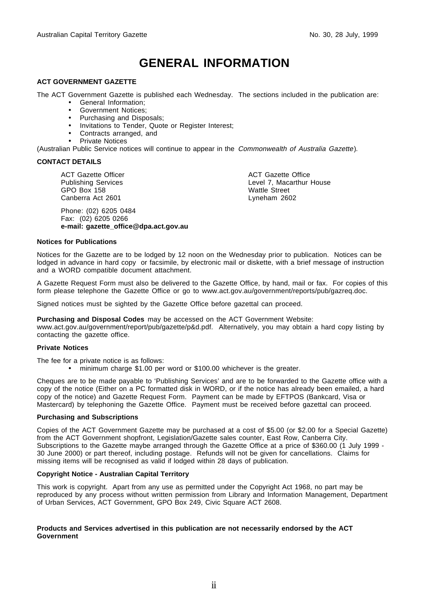### **GENERAL INFORMATION**

#### **ACT GOVERNMENT GAZETTE**

The ACT Government Gazette is published each Wednesday. The sections included in the publication are:

- General Information;
- Government Notices;
- Purchasing and Disposals;
- Invitations to Tender, Quote or Register Interest;
- Contracts arranged, and
- Private Notices

(Australian Public Service notices will continue to appear in the Commonwealth of Australia Gazette).

#### **CONTACT DETAILS**

ACT Gazette Officer Publishing Services GPO Box 158 Canberra Act 2601

Phone: (02) 6205 0484 Fax: (02) 6205 0266 **e-mail: gazette\_office@dpa.act.gov.au** ACT Gazette Office Level 7, Macarthur House Wattle Street Lyneham 2602

#### **Notices for Publications**

Notices for the Gazette are to be lodged by 12 noon on the Wednesday prior to publication. Notices can be lodged in advance in hard copy or facsimile, by electronic mail or diskette, with a brief message of instruction and a WORD compatible document attachment.

A Gazette Request Form must also be delivered to the Gazette Office, by hand, mail or fax. For copies of this form please telephone the Gazette Office or go to www.act.gov.au/government/reports/pub/gazreq.doc.

Signed notices must be sighted by the Gazette Office before gazettal can proceed.

**Purchasing and Disposal Codes** may be accessed on the ACT Government Website:

www.act.gov.au/government/report/pub/gazette/p&d.pdf. Alternatively, you may obtain a hard copy listing by contacting the gazette office.

#### **Private Notices**

The fee for a private notice is as follows:

• minimum charge \$1.00 per word or \$100.00 whichever is the greater.

Cheques are to be made payable to 'Publishing Services' and are to be forwarded to the Gazette office with a copy of the notice (Either on a PC formatted disk in WORD, or if the notice has already been emailed, a hard copy of the notice) and Gazette Request Form. Payment can be made by EFTPOS (Bankcard, Visa or Mastercard) by telephoning the Gazette Office. Payment must be received before gazettal can proceed.

#### **Purchasing and Subscriptions**

Copies of the ACT Government Gazette may be purchased at a cost of \$5.00 (or \$2.00 for a Special Gazette) from the ACT Government shopfront, Legislation/Gazette sales counter, East Row, Canberra City. Subscriptions to the Gazette maybe arranged through the Gazette Office at a price of \$360.00 (1 July 1999 - 30 June 2000) or part thereof, including postage. Refunds will not be given for cancellations. Claims for missing items will be recognised as valid if lodged within 28 days of publication.

#### **Copyright Notice - Australian Capital Territory**

This work is copyright. Apart from any use as permitted under the Copyright Act 1968, no part may be reproduced by any process without written permission from Library and Information Management, Department of Urban Services, ACT Government, GPO Box 249, Civic Square ACT 2608.

#### **Products and Services advertised in this publication are not necessarily endorsed by the ACT Government**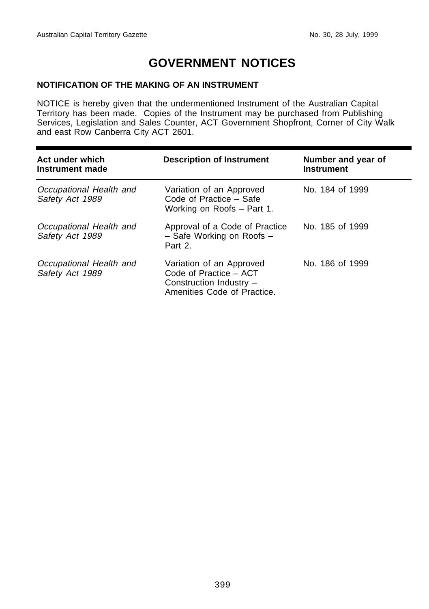### **GOVERNMENT NOTICES**

### **NOTIFICATION OF THE MAKING OF AN INSTRUMENT**

NOTICE is hereby given that the undermentioned Instrument of the Australian Capital Territory has been made. Copies of the Instrument may be purchased from Publishing Services, Legislation and Sales Counter, ACT Government Shopfront, Corner of City Walk and east Row Canberra City ACT 2601.

| Act under which<br>Instrument made         | <b>Description of Instrument</b>                                                                             | Number and year of<br><b>Instrument</b> |
|--------------------------------------------|--------------------------------------------------------------------------------------------------------------|-----------------------------------------|
| Occupational Health and<br>Safety Act 1989 | Variation of an Approved<br>Code of Practice – Safe<br>Working on Roofs - Part 1.                            | No. 184 of 1999                         |
| Occupational Health and<br>Safety Act 1989 | Approval of a Code of Practice<br>- Safe Working on Roofs -<br>Part 2.                                       | No. 185 of 1999                         |
| Occupational Health and<br>Safety Act 1989 | Variation of an Approved<br>Code of Practice - ACT<br>Construction Industry -<br>Amenities Code of Practice. | No. 186 of 1999                         |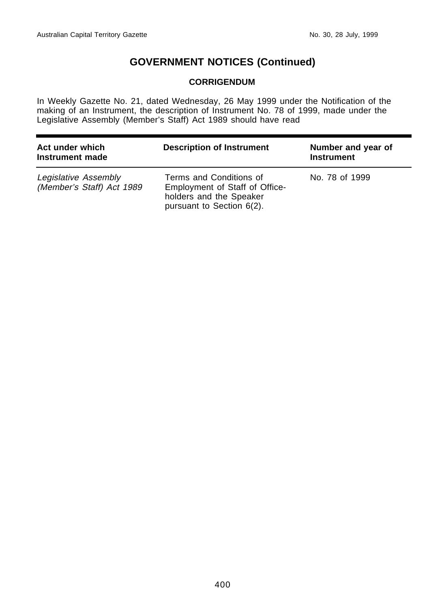### **CORRIGENDUM**

In Weekly Gazette No. 21, dated Wednesday, 26 May 1999 under the Notification of the making of an Instrument, the description of Instrument No. 78 of 1999, made under the Legislative Assembly (Member's Staff) Act 1989 should have read

| Act under which<br>Instrument made                | <b>Description of Instrument</b>                                                                                  | Number and year of<br><b>Instrument</b> |
|---------------------------------------------------|-------------------------------------------------------------------------------------------------------------------|-----------------------------------------|
| Legislative Assembly<br>(Member's Staff) Act 1989 | Terms and Conditions of<br>Employment of Staff of Office-<br>holders and the Speaker<br>pursuant to Section 6(2). | No. 78 of 1999                          |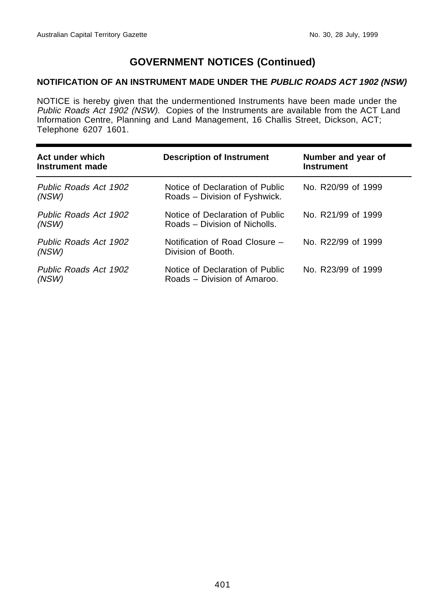### **NOTIFICATION OF AN INSTRUMENT MADE UNDER THE PUBLIC ROADS ACT 1902 (NSW)**

NOTICE is hereby given that the undermentioned Instruments have been made under the Public Roads Act 1902 (NSW). Copies of the Instruments are available from the ACT Land Information Centre, Planning and Land Management, 16 Challis Street, Dickson, ACT; Telephone 6207 1601.

| Act under which<br>Instrument made | <b>Description of Instrument</b>                                 | Number and year of<br><b>Instrument</b> |
|------------------------------------|------------------------------------------------------------------|-----------------------------------------|
| Public Roads Act 1902<br>(NSW)     | Notice of Declaration of Public<br>Roads - Division of Fyshwick. | No. R20/99 of 1999                      |
| Public Roads Act 1902<br>(NSW)     | Notice of Declaration of Public<br>Roads – Division of Nicholls. | No. R21/99 of 1999                      |
| Public Roads Act 1902<br>(NSW)     | Notification of Road Closure –<br>Division of Booth.             | No. R22/99 of 1999                      |
| Public Roads Act 1902<br>(NSW)     | Notice of Declaration of Public<br>Roads – Division of Amaroo.   | No. R23/99 of 1999                      |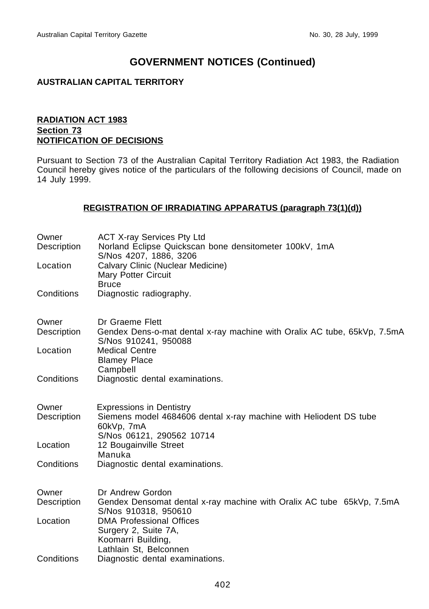### **AUSTRALIAN CAPITAL TERRITORY**

### **RADIATION ACT 1983 Section 73 NOTIFICATION OF DECISIONS**

Pursuant to Section 73 of the Australian Capital Territory Radiation Act 1983, the Radiation Council hereby gives notice of the particulars of the following decisions of Council, made on 14 July 1999.

### **REGISTRATION OF IRRADIATING APPARATUS (paragraph 73(1)(d))**

| Owner<br>Description | <b>ACT X-ray Services Pty Ltd</b><br>Norland Eclipse Quickscan bone densitometer 100kV, 1mA<br>S/Nos 4207, 1886, 3206                           |
|----------------------|-------------------------------------------------------------------------------------------------------------------------------------------------|
| Location             | Calvary Clinic (Nuclear Medicine)<br><b>Mary Potter Circuit</b><br><b>Bruce</b>                                                                 |
| Conditions           | Diagnostic radiography.                                                                                                                         |
| Owner<br>Description | Dr Graeme Flett<br>Gendex Dens-o-mat dental x-ray machine with Oralix AC tube, 65kVp, 7.5mA<br>S/Nos 910241, 950088                             |
| Location             | <b>Medical Centre</b><br><b>Blamey Place</b><br>Campbell                                                                                        |
| Conditions           | Diagnostic dental examinations.                                                                                                                 |
| Owner<br>Description | <b>Expressions in Dentistry</b><br>Siemens model 4684606 dental x-ray machine with Heliodent DS tube<br>60kVp, 7mA<br>S/Nos 06121, 290562 10714 |
| Location             | 12 Bougainville Street                                                                                                                          |
| Conditions           | Manuka<br>Diagnostic dental examinations.                                                                                                       |
| Owner<br>Description | Dr Andrew Gordon<br>Gendex Densomat dental x-ray machine with Oralix AC tube 65kVp, 7.5mA<br>S/Nos 910318, 950610                               |
| Location             | <b>DMA Professional Offices</b><br>Surgery 2, Suite 7A,<br>Koomarri Building,                                                                   |
| Conditions           | Lathlain St, Belconnen<br>Diagnostic dental examinations.                                                                                       |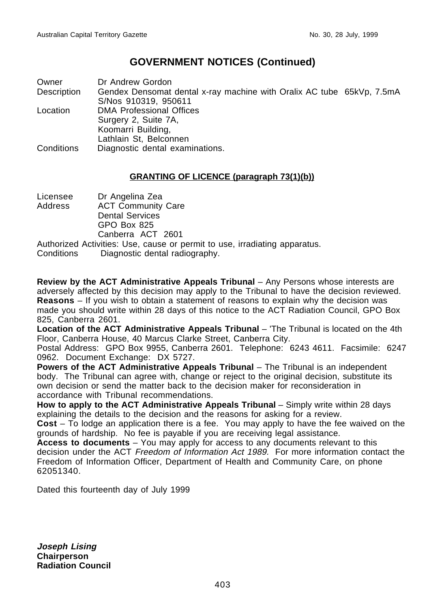Owner Dr Andrew Gordon Description Gendex Densomat dental x-ray machine with Oralix AC tube 65kVp, 7.5mA S/Nos 910319, 950611 Location DMA Professional Offices Surgery 2, Suite 7A, Koomarri Building, Lathlain St, Belconnen Conditions Diagnostic dental examinations.

### **GRANTING OF LICENCE (paragraph 73(1)(b))**

Licensee Dr Angelina Zea Address ACT Community Care Dental Services GPO Box 825 Canberra ACT 2601 Authorized Activities: Use, cause or permit to use, irradiating apparatus. Conditions Diagnostic dental radiography.

**Review by the ACT Administrative Appeals Tribunal** – Any Persons whose interests are adversely affected by this decision may apply to the Tribunal to have the decision reviewed. **Reasons** – If you wish to obtain a statement of reasons to explain why the decision was made you should write within 28 days of this notice to the ACT Radiation Council, GPO Box 825, Canberra 2601.

**Location of the ACT Administrative Appeals Tribunal** – 'The Tribunal is located on the 4th Floor, Canberra House, 40 Marcus Clarke Street, Canberra City.

Postal Address: GPO Box 9955, Canberra 2601. Telephone: 6243 4611. Facsimile: 6247 0962. Document Exchange: DX 5727.

**Powers of the ACT Administrative Appeals Tribunal** – The Tribunal is an independent body. The Tribunal can agree with, change or reject to the original decision, substitute its own decision or send the matter back to the decision maker for reconsideration in accordance with Tribunal recommendations.

**How to apply to the ACT Administrative Appeals Tribunal** – Simply write within 28 days explaining the details to the decision and the reasons for asking for a review.

**Cost** – To lodge an application there is a fee. You may apply to have the fee waived on the grounds of hardship. No fee is payable if you are receiving legal assistance.

**Access to documents** – You may apply for access to any documents relevant to this decision under the ACT Freedom of Information Act 1989. For more information contact the Freedom of Information Officer, Department of Health and Community Care, on phone 62051340.

Dated this fourteenth day of July 1999

**Joseph Lising Chairperson Radiation Council**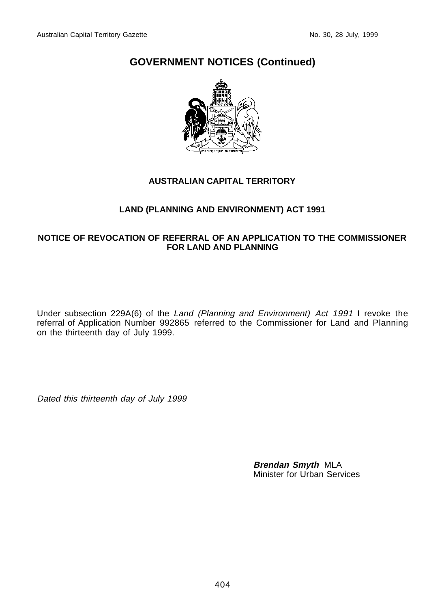

### **AUSTRALIAN CAPITAL TERRITORY**

### **LAND (PLANNING AND ENVIRONMENT) ACT 1991**

### **NOTICE OF REVOCATION OF REFERRAL OF AN APPLICATION TO THE COMMISSIONER FOR LAND AND PLANNING**

Under subsection 229A(6) of the Land (Planning and Environment) Act 1991 I revoke the referral of Application Number 992865 referred to the Commissioner for Land and Planning on the thirteenth day of July 1999.

Dated this thirteenth day of July 1999

**Brendan Smyth** MLA Minister for Urban Services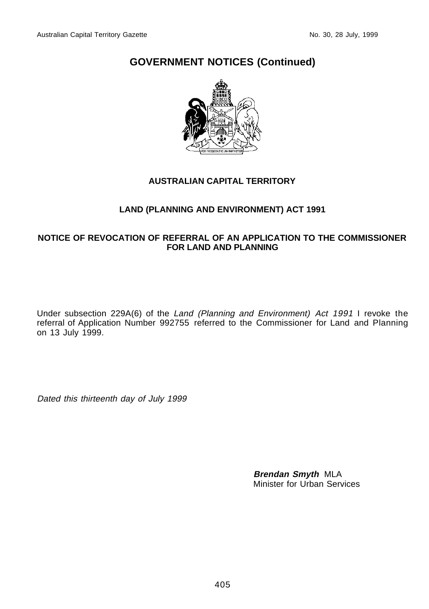

### **AUSTRALIAN CAPITAL TERRITORY**

### **LAND (PLANNING AND ENVIRONMENT) ACT 1991**

### **NOTICE OF REVOCATION OF REFERRAL OF AN APPLICATION TO THE COMMISSIONER FOR LAND AND PLANNING**

Under subsection 229A(6) of the Land (Planning and Environment) Act 1991 I revoke the referral of Application Number 992755 referred to the Commissioner for Land and Planning on 13 July 1999.

Dated this thirteenth day of July 1999

**Brendan Smyth** MLA Minister for Urban Services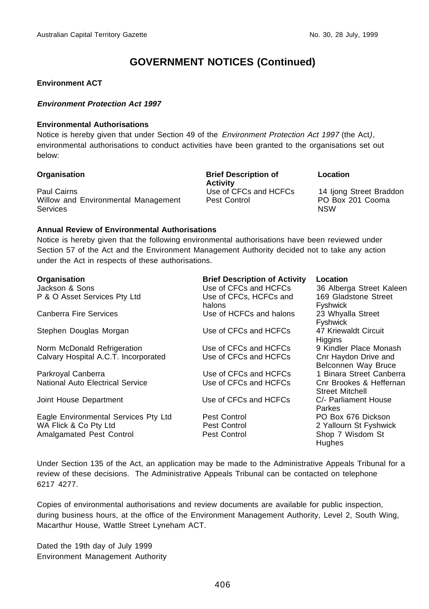### **Environment ACT**

#### **Environment Protection Act 1997**

#### **Environmental Authorisations**

Notice is hereby given that under Section 49 of the *Environment Protection Act 1997* (the Act), environmental authorisations to conduct activities have been granted to the organisations set out below:

#### Paul Cairns Use of CFCs and HCFCs 14 Ijong Street Braddon Willow and Environmental Management **Services**

**Organisation Brief Description of Activity**<br>Use of CFCs and HCFCs Pest Control PO Box 201 Cooma

#### **Location**

NSW

#### **Annual Review of Environmental Authorisations**

Notice is hereby given that the following environmental authorisations have been reviewed under Section 57 of the Act and the Environment Management Authority decided not to take any action under the Act in respects of these authorisations.

| Organisation<br>Jackson & Sons<br>P & O Asset Services Pty Ltd | <b>Brief Description of Activity</b><br>Use of CFCs and HCFCs<br>Use of CFCs, HCFCs and<br>halons | Location<br>36 Alberga Street Kaleen<br>169 Gladstone Street<br><b>Fyshwick</b> |
|----------------------------------------------------------------|---------------------------------------------------------------------------------------------------|---------------------------------------------------------------------------------|
| Canberra Fire Services                                         | Use of HCFCs and halons                                                                           | 23 Whyalla Street<br><b>Fyshwick</b>                                            |
| Stephen Douglas Morgan                                         | Use of CFCs and HCFCs                                                                             | 47 Kriewaldt Circuit<br>Higgins                                                 |
| Norm McDonald Refrigeration                                    | Use of CFCs and HCFCs                                                                             | 9 Kindler Place Monash                                                          |
| Calvary Hospital A.C.T. Incorporated                           | Use of CFCs and HCFCs                                                                             | Cnr Haydon Drive and<br>Belconnen Way Bruce                                     |
| Parkroyal Canberra                                             | Use of CFCs and HCFCs                                                                             | 1 Binara Street Canberra                                                        |
| National Auto Electrical Service                               | Use of CFCs and HCFCs                                                                             | Cnr Brookes & Heffernan<br><b>Street Mitchell</b>                               |
| Joint House Department                                         | Use of CFCs and HCFCs                                                                             | C/- Parliament House<br>Parkes                                                  |
| Eagle Environmental Services Pty Ltd                           | Pest Control                                                                                      | PO Box 676 Dickson                                                              |
| WA Flick & Co Pty Ltd                                          | Pest Control                                                                                      | 2 Yallourn St Fyshwick                                                          |
| Amalgamated Pest Control                                       | Pest Control                                                                                      | Shop 7 Wisdom St<br><b>Hughes</b>                                               |

Under Section 135 of the Act, an application may be made to the Administrative Appeals Tribunal for a review of these decisions. The Administrative Appeals Tribunal can be contacted on telephone 6217 4277.

Copies of environmental authorisations and review documents are available for public inspection, during business hours, at the office of the Environment Management Authority, Level 2, South Wing, Macarthur House, Wattle Street Lyneham ACT.

Dated the 19th day of July 1999 Environment Management Authority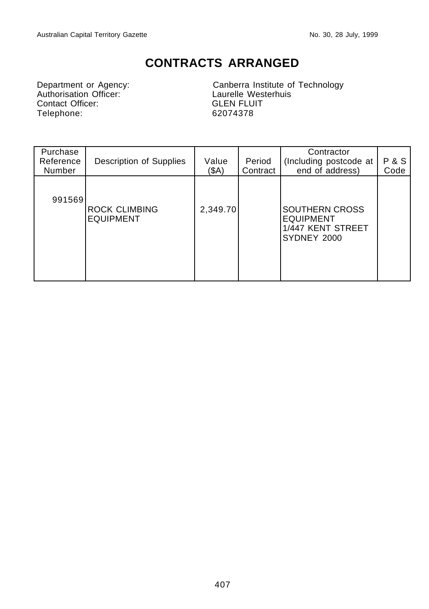### **CONTRACTS ARRANGED**

Department or Agency:<br>
Authorisation Officer:<br>
Contact Officer:<br>
Contact Officer:<br>
GLEN FLUIT Contact Officer:<br>
Telephone: GLEN FLU<br>
62074378 Telephone:

Canberra Institute of Technology

| Purchase<br>Reference<br>Number | Description of Supplies                  | Value<br>(SA) | Period<br>Contract | Contractor<br>(Including postcode at<br>end of address)                       | <b>P&amp;S</b><br>Code |
|---------------------------------|------------------------------------------|---------------|--------------------|-------------------------------------------------------------------------------|------------------------|
| 991569                          | <b>ROCK CLIMBING</b><br><b>EQUIPMENT</b> | 2,349.70      |                    | <b>SOUTHERN CROSS</b><br><b>EQUIPMENT</b><br>1/447 KENT STREET<br>SYDNEY 2000 |                        |